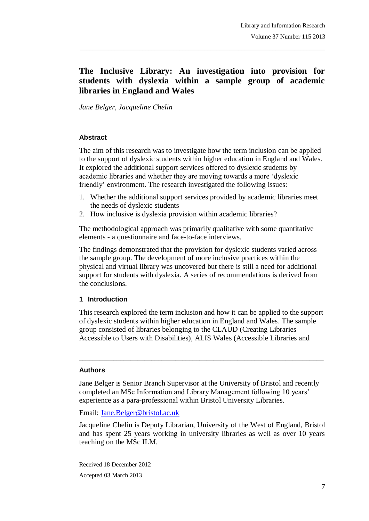# **The Inclusive Library: An investigation into provision for students with dyslexia within a sample group of academic libraries in England and Wales**

\_\_\_\_\_\_\_\_\_\_\_\_\_\_\_\_\_\_\_\_\_\_\_\_\_\_\_\_\_\_\_\_\_\_\_\_\_\_\_\_\_\_\_\_\_\_\_\_\_\_\_\_\_\_\_\_\_\_\_\_\_\_\_\_\_\_\_\_\_\_\_\_\_\_\_\_\_\_\_

*Jane Belger, Jacqueline Chelin*

#### **Abstract**

The aim of this research was to investigate how the term inclusion can be applied to the support of dyslexic students within higher education in England and Wales. It explored the additional support services offered to dyslexic students by academic libraries and whether they are moving towards a more "dyslexic friendly' environment. The research investigated the following issues:

- 1. Whether the additional support services provided by academic libraries meet the needs of dyslexic students
- 2. How inclusive is dyslexia provision within academic libraries?

The methodological approach was primarily qualitative with some quantitative elements - a questionnaire and face-to-face interviews.

The findings demonstrated that the provision for dyslexic students varied across the sample group. The development of more inclusive practices within the physical and virtual library was uncovered but there is still a need for additional support for students with dyslexia. A series of recommendations is derived from the conclusions.

### **1 Introduction**

This research explored the term inclusion and how it can be applied to the support of dyslexic students within higher education in England and Wales. The sample group consisted of libraries belonging to the CLAUD (Creating Libraries Accessible to Users with Disabilities), ALIS Wales (Accessible Libraries and

 $\_$  ,  $\_$  ,  $\_$  ,  $\_$  ,  $\_$  ,  $\_$  ,  $\_$  ,  $\_$  ,  $\_$  ,  $\_$  ,  $\_$  ,  $\_$  ,  $\_$  ,  $\_$  ,  $\_$  ,  $\_$  ,  $\_$  ,  $\_$  ,  $\_$ 

#### **Authors**

Jane Belger is Senior Branch Supervisor at the University of Bristol and recently completed an MSc Information and Library Management following 10 years" experience as a para-professional within Bristol University Libraries.

Email: Jane.Belger@bristol.ac.uk

Jacqueline Chelin is Deputy Librarian, University of the West of England, Bristol and has spent 25 years working in university libraries as well as over 10 years teaching on the MSc ILM.

Received 18 December 2012 Accepted 03 March 2013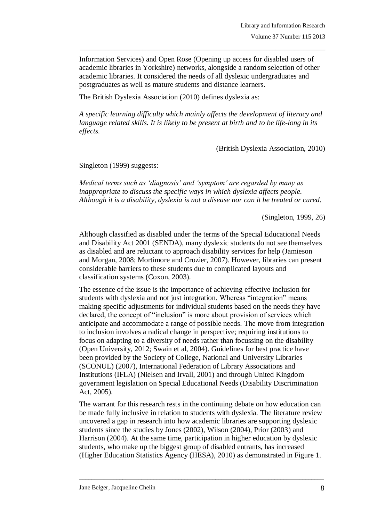Information Services) and Open Rose (Opening up access for disabled users of academic libraries in Yorkshire) networks, alongside a random selection of other academic libraries. It considered the needs of all dyslexic undergraduates and postgraduates as well as mature students and distance learners.

 $\_$  , and the set of the set of the set of the set of the set of the set of the set of the set of the set of the set of the set of the set of the set of the set of the set of the set of the set of the set of the set of th

The British Dyslexia Association (2010) defines dyslexia as:

*A specific learning difficulty which mainly affects the development of literacy and language related skills. It is likely to be present at birth and to be life-long in its effects.*

(British Dyslexia Association, 2010)

Singleton (1999) suggests:

*Medical terms such as 'diagnosis' and 'symptom' are regarded by many as inappropriate to discuss the specific ways in which dyslexia affects people. Although it is a disability, dyslexia is not a disease nor can it be treated or cured.*

(Singleton, 1999, 26)

Although classified as disabled under the terms of the Special Educational Needs and Disability Act 2001 (SENDA), many dyslexic students do not see themselves as disabled and are reluctant to approach disability services for help (Jamieson and Morgan, 2008; Mortimore and Crozier, 2007). However, libraries can present considerable barriers to these students due to complicated layouts and classification systems (Coxon, 2003).

The essence of the issue is the importance of achieving effective inclusion for students with dyslexia and not just integration. Whereas "integration" means making specific adjustments for individual students based on the needs they have declared, the concept of "inclusion" is more about provision of services which anticipate and accommodate a range of possible needs. The move from integration to inclusion involves a radical change in perspective; requiring institutions to focus on adapting to a diversity of needs rather than focussing on the disability (Open University, 2012; Swain et al, 2004). Guidelines for best practice have been provided by the Society of College, National and University Libraries (SCONUL) (2007), International Federation of Library Associations and Institutions (IFLA) (Nielsen and Irvall, 2001) and through United Kingdom government legislation on Special Educational Needs (Disability Discrimination Act, 2005).

The warrant for this research rests in the continuing debate on how education can be made fully inclusive in relation to students with dyslexia. The literature review uncovered a gap in research into how academic libraries are supporting dyslexic students since the studies by Jones (2002), Wilson (2004), Prior (2003) and Harrison (2004). At the same time, participation in higher education by dyslexic students, who make up the biggest group of disabled entrants, has increased (Higher Education Statistics Agency (HESA), 2010) as demonstrated in Figure 1.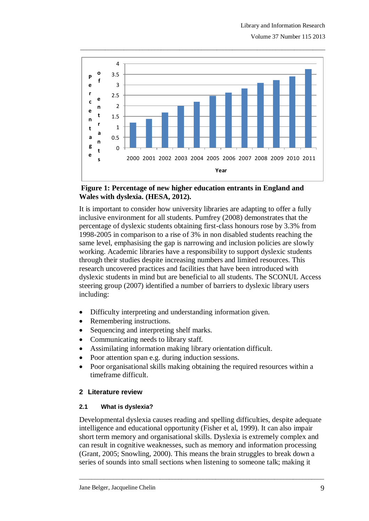

 $\_$  , and the set of the set of the set of the set of the set of the set of the set of the set of the set of the set of the set of the set of the set of the set of the set of the set of the set of the set of the set of th

#### **Figure 1: Percentage of new higher education entrants in England and Wales with dyslexia. (HESA, 2012).**

It is important to consider how university libraries are adapting to offer a fully inclusive environment for all students. Pumfrey (2008) demonstrates that the percentage of dyslexic students obtaining first-class honours rose by 3.3% from 1998-2005 in comparison to a rise of 3% in non disabled students reaching the same level, emphasising the gap is narrowing and inclusion policies are slowly working. Academic libraries have a responsibility to support dyslexic students through their studies despite increasing numbers and limited resources. This research uncovered practices and facilities that have been introduced with dyslexic students in mind but are beneficial to all students. The SCONUL Access steering group (2007) identified a number of barriers to dyslexic library users including:

- Difficulty interpreting and understanding information given.
- Remembering instructions.
- Sequencing and interpreting shelf marks.
- Communicating needs to library staff.
- Assimilating information making library orientation difficult.
- Poor attention span e.g. during induction sessions.
- Poor organisational skills making obtaining the required resources within a timeframe difficult.

### **2 Literature review**

### **2.1 What is dyslexia?**

Developmental dyslexia causes reading and spelling difficulties, despite adequate intelligence and educational opportunity (Fisher et al, 1999). It can also impair short term memory and organisational skills. Dyslexia is extremely complex and can result in cognitive weaknesses, such as memory and information processing (Grant, 2005; Snowling, 2000). This means the brain struggles to break down a series of sounds into small sections when listening to someone talk; making it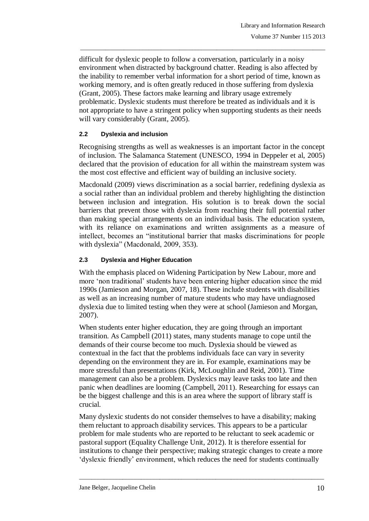difficult for dyslexic people to follow a conversation, particularly in a noisy environment when distracted by background chatter. Reading is also affected by the inability to remember verbal information for a short period of time, known as working memory, and is often greatly reduced in those suffering from dyslexia (Grant, 2005). These factors make learning and library usage extremely problematic. Dyslexic students must therefore be treated as individuals and it is not appropriate to have a stringent policy when supporting students as their needs will vary considerably (Grant, 2005).

 $\_$  , and the set of the set of the set of the set of the set of the set of the set of the set of the set of the set of the set of the set of the set of the set of the set of the set of the set of the set of the set of th

### **2.2 Dyslexia and inclusion**

Recognising strengths as well as weaknesses is an important factor in the concept of inclusion. The Salamanca Statement (UNESCO, 1994 in Deppeler et al, 2005) declared that the provision of education for all within the mainstream system was the most cost effective and efficient way of building an inclusive society.

Macdonald (2009) views discrimination as a social barrier, redefining dyslexia as a social rather than an individual problem and thereby highlighting the distinction between inclusion and integration. His solution is to break down the social barriers that prevent those with dyslexia from reaching their full potential rather than making special arrangements on an individual basis. The education system, with its reliance on examinations and written assignments as a measure of intellect, becomes an "institutional barrier that masks discriminations for people with dyslexia" (Macdonald, 2009, 353).

### **2.3 Dyslexia and Higher Education**

With the emphasis placed on Widening Participation by New Labour, more and more "non traditional" students have been entering higher education since the mid 1990s (Jamieson and Morgan, 2007, 18). These include students with disabilities as well as an increasing number of mature students who may have undiagnosed dyslexia due to limited testing when they were at school (Jamieson and Morgan, 2007).

When students enter higher education, they are going through an important transition. As Campbell (2011) states, many students manage to cope until the demands of their course become too much. Dyslexia should be viewed as contextual in the fact that the problems individuals face can vary in severity depending on the environment they are in. For example, examinations may be more stressful than presentations (Kirk, McLoughlin and Reid, 2001). Time management can also be a problem. Dyslexics may leave tasks too late and then panic when deadlines are looming (Campbell, 2011). Researching for essays can be the biggest challenge and this is an area where the support of library staff is crucial.

Many dyslexic students do not consider themselves to have a disability; making them reluctant to approach disability services. This appears to be a particular problem for male students who are reported to be reluctant to seek academic or pastoral support (Equality Challenge Unit, 2012). It is therefore essential for institutions to change their perspective; making strategic changes to create a more "dyslexic friendly" environment, which reduces the need for students continually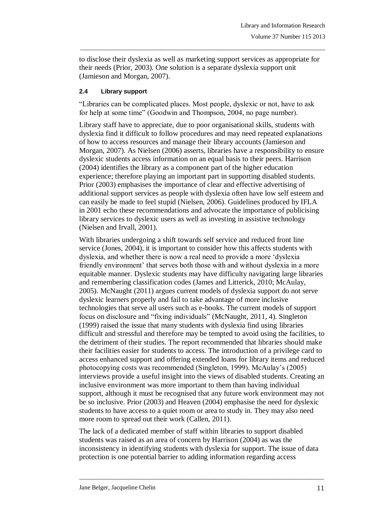to disclose their dyslexia as well as marketing support services as appropriate for their needs (Prior, 2003). One solution is a separate dyslexia support unit (Jamieson and Morgan, 2007).

 $\_$  , and the set of the set of the set of the set of the set of the set of the set of the set of the set of the set of the set of the set of the set of the set of the set of the set of the set of the set of the set of th

### **2.4 Library support**

"Libraries can be complicated places. Most people, dyslexic or not, have to ask for help at some time" (Goodwin and Thompson, 2004, no page number).

Library staff have to appreciate, due to poor organisational skills, students with dyslexia find it difficult to follow procedures and may need repeated explanations of how to access resources and manage their library accounts (Jamieson and Morgan, 2007). As Nielsen (2006) asserts, libraries have a responsibility to ensure dyslexic students access information on an equal basis to their peers. Harrison (2004) identifies the library as a component part of the higher education experience; therefore playing an important part in supporting disabled students. Prior (2003) emphasises the importance of clear and effective advertising of additional support services as people with dyslexia often have low self esteem and can easily be made to feel stupid (Nielsen, 2006). Guidelines produced by IFLA in 2001 echo these recommendations and advocate the importance of publicising library services to dyslexic users as well as investing in assistive technology (Nielsen and Irvall, 2001).

With libraries undergoing a shift towards self service and reduced front line service (Jones, 2004), it is important to consider how this affects students with dyslexia, and whether there is now a real need to provide a more "dyslexia friendly environment' that serves both those with and without dyslexia in a more equitable manner. Dyslexic students may have difficulty navigating large libraries and remembering classification codes (James and Litterick, 2010; McAulay, 2005). McNaught (2011) argues current models of dyslexia support do not serve dyslexic learners properly and fail to take advantage of more inclusive technologies that serve all users such as e-books. The current models of support focus on disclosure and "fixing individuals" (McNaught, 2011, 4). Singleton (1999) raised the issue that many students with dyslexia find using libraries difficult and stressful and therefore may be tempted to avoid using the facilities, to the detriment of their studies. The report recommended that libraries should make their facilities easier for students to access. The introduction of a privilege card to access enhanced support and offering extended loans for library items and reduced photocopying costs was recommended (Singleton, 1999). McAulay"s (2005) interviews provide a useful insight into the views of disabled students. Creating an inclusive environment was more important to them than having individual support, although it must be recognised that any future work environment may not be so inclusive. Prior (2003) and Heaven (2004) emphasise the need for dyslexic students to have access to a quiet room or area to study in. They may also need more room to spread out their work (Callen, 2011).

The lack of a dedicated member of staff within libraries to support disabled students was raised as an area of concern by Harrison (2004) as was the inconsistency in identifying students with dyslexia for support. The issue of data protection is one potential barrier to adding information regarding access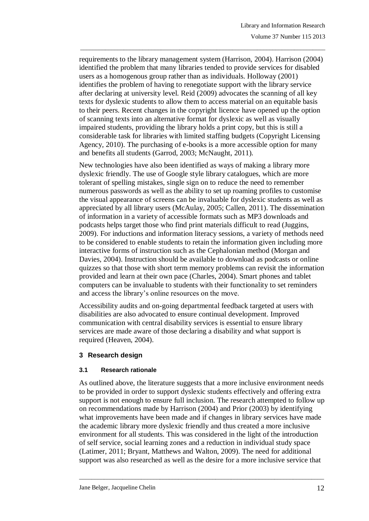requirements to the library management system (Harrison, 2004). Harrison (2004) identified the problem that many libraries tended to provide services for disabled users as a homogenous group rather than as individuals. Holloway (2001) identifies the problem of having to renegotiate support with the library service after declaring at university level. Reid (2009) advocates the scanning of all key texts for dyslexic students to allow them to access material on an equitable basis to their peers. Recent changes in the copyright licence have opened up the option of scanning texts into an alternative format for dyslexic as well as visually impaired students, providing the library holds a print copy, but this is still a considerable task for libraries with limited staffing budgets (Copyright Licensing Agency, 2010). The purchasing of e-books is a more accessible option for many and benefits all students (Garrod, 2003; McNaught, 2011).

 $\_$  , and the set of the set of the set of the set of the set of the set of the set of the set of the set of the set of the set of the set of the set of the set of the set of the set of the set of the set of the set of th

New technologies have also been identified as ways of making a library more dyslexic friendly. The use of Google style library catalogues, which are more tolerant of spelling mistakes, single sign on to reduce the need to remember numerous passwords as well as the ability to set up roaming profiles to customise the visual appearance of screens can be invaluable for dyslexic students as well as appreciated by all library users (McAulay, 2005; Callen, 2011). The dissemination of information in a variety of accessible formats such as MP3 downloads and podcasts helps target those who find print materials difficult to read (Juggins, 2009). For inductions and information literacy sessions, a variety of methods need to be considered to enable students to retain the information given including more interactive forms of instruction such as the Cephalonian method (Morgan and Davies, 2004). Instruction should be available to download as podcasts or online quizzes so that those with short term memory problems can revisit the information provided and learn at their own pace (Charles, 2004). Smart phones and tablet computers can be invaluable to students with their functionality to set reminders and access the library"s online resources on the move.

Accessibility audits and on-going departmental feedback targeted at users with disabilities are also advocated to ensure continual development. Improved communication with central disability services is essential to ensure library services are made aware of those declaring a disability and what support is required (Heaven, 2004).

### **3 Research design**

#### **3.1 Research rationale**

As outlined above, the literature suggests that a more inclusive environment needs to be provided in order to support dyslexic students effectively and offering extra support is not enough to ensure full inclusion. The research attempted to follow up on recommendations made by Harrison (2004) and Prior (2003) by identifying what improvements have been made and if changes in library services have made the academic library more dyslexic friendly and thus created a more inclusive environment for all students. This was considered in the light of the introduction of self service, social learning zones and a reduction in individual study space (Latimer, 2011; Bryant, Matthews and Walton, 2009). The need for additional support was also researched as well as the desire for a more inclusive service that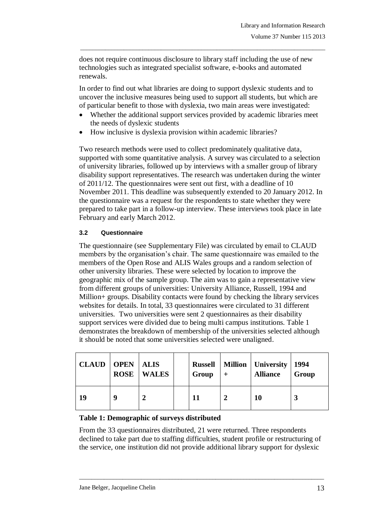does not require continuous disclosure to library staff including the use of new technologies such as integrated specialist software, e-books and automated renewals.

 $\_$  , and the set of the set of the set of the set of the set of the set of the set of the set of the set of the set of the set of the set of the set of the set of the set of the set of the set of the set of the set of th

In order to find out what libraries are doing to support dyslexic students and to uncover the inclusive measures being used to support all students, but which are of particular benefit to those with dyslexia, two main areas were investigated:

- Whether the additional support services provided by academic libraries meet the needs of dyslexic students
- How inclusive is dyslexia provision within academic libraries?

Two research methods were used to collect predominately qualitative data, supported with some quantitative analysis. A survey was circulated to a selection of university libraries, followed up by interviews with a smaller group of library disability support representatives. The research was undertaken during the winter of 2011/12. The questionnaires were sent out first, with a deadline of 10 November 2011. This deadline was subsequently extended to 20 January 2012. In the questionnaire was a request for the respondents to state whether they were prepared to take part in a follow-up interview. These interviews took place in late February and early March 2012.

### **3.2 Questionnaire**

The questionnaire (see Supplementary File) was circulated by email to CLAUD members by the organisation"s chair. The same questionnaire was emailed to the members of the Open Rose and ALIS Wales groups and a random selection of other university libraries. These were selected by location to improve the geographic mix of the sample group. The aim was to gain a representative view from different groups of universities: University Alliance, Russell, 1994 and Million+ groups. Disability contacts were found by checking the library services websites for details. In total, 33 questionnaires were circulated to 31 different universities. Two universities were sent 2 questionnaires as their disability support services were divided due to being multi campus institutions. Table 1 demonstrates the breakdown of membership of the universities selected although it should be noted that some universities selected were unaligned.

| <b>CLAUD</b> | <b>OPEN</b> ALIS<br><b>ROSE</b> | <b>WALES</b> | Group | <b>Russell   Million   University</b><br><b>Alliance</b> | 1994<br>Group |
|--------------|---------------------------------|--------------|-------|----------------------------------------------------------|---------------|
| 19           | Q                               |              |       | 10                                                       |               |

### **Table 1: Demographic of surveys distributed**

From the 33 questionnaires distributed, 21 were returned. Three respondents declined to take part due to staffing difficulties, student profile or restructuring of the service, one institution did not provide additional library support for dyslexic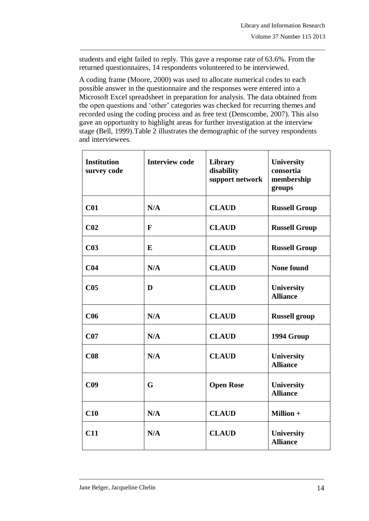students and eight failed to reply. This gave a response rate of 63.6%. From the returned questionnaires, 14 respondents volunteered to be interviewed.

 $\_$  , and the set of the set of the set of the set of the set of the set of the set of the set of the set of the set of the set of the set of the set of the set of the set of the set of the set of the set of the set of th

A coding frame (Moore, 2000) was used to allocate numerical codes to each possible answer in the questionnaire and the responses were entered into a Microsoft Excel spreadsheet in preparation for analysis. The data obtained from the open questions and "other" categories was checked for recurring themes and recorded using the coding process and as free text (Denscombe, 2007). This also gave an opportunity to highlight areas for further investigation at the interview stage (Bell, 1999).Table 2 illustrates the demographic of the survey respondents and interviewees.

| <b>Institution</b><br>survey code | <b>Interview code</b> | <b>Library</b><br>disability<br>support network | <b>University</b><br>consortia<br>membership<br>groups |
|-----------------------------------|-----------------------|-------------------------------------------------|--------------------------------------------------------|
| C <sub>01</sub>                   | N/A                   | <b>CLAUD</b>                                    | <b>Russell Group</b>                                   |
| C <sub>02</sub>                   | $\mathbf{F}$          | <b>CLAUD</b>                                    | <b>Russell Group</b>                                   |
| C <sub>03</sub>                   | E                     | <b>CLAUD</b>                                    | <b>Russell Group</b>                                   |
| C <sub>04</sub>                   | N/A                   | <b>CLAUD</b>                                    | <b>None found</b>                                      |
| C <sub>05</sub>                   | D                     | <b>CLAUD</b>                                    | <b>University</b><br><b>Alliance</b>                   |
| C <sub>06</sub>                   | N/A                   | <b>CLAUD</b>                                    | <b>Russell group</b>                                   |
| CO7                               | N/A                   | <b>CLAUD</b>                                    | 1994 Group                                             |
| C <sub>08</sub>                   | N/A                   | <b>CLAUD</b>                                    | <b>University</b><br><b>Alliance</b>                   |
| C <sub>09</sub>                   | G                     | <b>Open Rose</b>                                | <b>University</b><br><b>Alliance</b>                   |
| C10                               | N/A                   | <b>CLAUD</b>                                    | <b>Million +</b>                                       |
| C11                               | N/A                   | <b>CLAUD</b>                                    | University<br><b>Alliance</b>                          |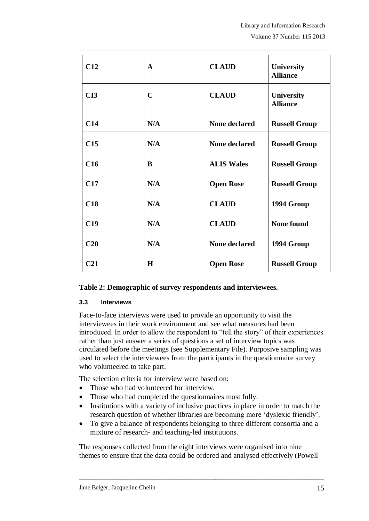| C12             | $\mathbf{A}$ | <b>CLAUD</b>         | <b>University</b><br><b>Alliance</b> |
|-----------------|--------------|----------------------|--------------------------------------|
| CI3             | $\mathbf C$  | <b>CLAUD</b>         | <b>University</b><br><b>Alliance</b> |
| C14             | N/A          | <b>None declared</b> | <b>Russell Group</b>                 |
| C15             | N/A          | <b>None declared</b> | <b>Russell Group</b>                 |
| C16             | B            | <b>ALIS Wales</b>    | <b>Russell Group</b>                 |
| C17             | N/A          | <b>Open Rose</b>     | <b>Russell Group</b>                 |
| C18             | N/A          | <b>CLAUD</b>         | 1994 Group                           |
| C19             | N/A          | <b>CLAUD</b>         | <b>None found</b>                    |
| C20             | N/A          | <b>None declared</b> | 1994 Group                           |
| C <sub>21</sub> | H            | <b>Open Rose</b>     | <b>Russell Group</b>                 |

 $\_$  , and the set of the set of the set of the set of the set of the set of the set of the set of the set of the set of the set of the set of the set of the set of the set of the set of the set of the set of the set of th

### **Table 2: Demographic of survey respondents and interviewees.**

#### **3.3 Interviews**

Face-to-face interviews were used to provide an opportunity to visit the interviewees in their work environment and see what measures had been introduced. In order to allow the respondent to "tell the story" of their experiences rather than just answer a series of questions a set of interview topics was circulated before the meetings (see Supplementary File). Purposive sampling was used to select the interviewees from the participants in the questionnaire survey who volunteered to take part.

The selection criteria for interview were based on:

- Those who had volunteered for interview.
- Those who had completed the questionnaires most fully.
- Institutions with a variety of inclusive practices in place in order to match the research question of whether libraries are becoming more "dyslexic friendly".
- To give a balance of respondents belonging to three different consortia and a mixture of research- and teaching-led institutions.

The responses collected from the eight interviews were organised into nine themes to ensure that the data could be ordered and analysed effectively (Powell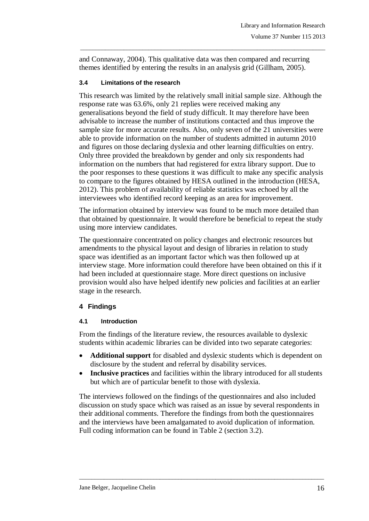and Connaway, 2004). This qualitative data was then compared and recurring themes identified by entering the results in an analysis grid (Gillham, 2005).

 $\_$  , and the set of the set of the set of the set of the set of the set of the set of the set of the set of the set of the set of the set of the set of the set of the set of the set of the set of the set of the set of th

#### **3.4 Limitations of the research**

This research was limited by the relatively small initial sample size. Although the response rate was 63.6%, only 21 replies were received making any generalisations beyond the field of study difficult. It may therefore have been advisable to increase the number of institutions contacted and thus improve the sample size for more accurate results. Also, only seven of the 21 universities were able to provide information on the number of students admitted in autumn 2010 and figures on those declaring dyslexia and other learning difficulties on entry. Only three provided the breakdown by gender and only six respondents had information on the numbers that had registered for extra library support. Due to the poor responses to these questions it was difficult to make any specific analysis to compare to the figures obtained by HESA outlined in the introduction (HESA, 2012). This problem of availability of reliable statistics was echoed by all the interviewees who identified record keeping as an area for improvement.

The information obtained by interview was found to be much more detailed than that obtained by questionnaire. It would therefore be beneficial to repeat the study using more interview candidates.

The questionnaire concentrated on policy changes and electronic resources but amendments to the physical layout and design of libraries in relation to study space was identified as an important factor which was then followed up at interview stage. More information could therefore have been obtained on this if it had been included at questionnaire stage. More direct questions on inclusive provision would also have helped identify new policies and facilities at an earlier stage in the research.

### **4 Findings**

#### **4.1 Introduction**

From the findings of the literature review, the resources available to dyslexic students within academic libraries can be divided into two separate categories:

- **Additional support** for disabled and dyslexic students which is dependent on disclosure by the student and referral by disability services.
- **Inclusive practices** and facilities within the library introduced for all students but which are of particular benefit to those with dyslexia.

The interviews followed on the findings of the questionnaires and also included discussion on study space which was raised as an issue by several respondents in their additional comments. Therefore the findings from both the questionnaires and the interviews have been amalgamated to avoid duplication of information. Full coding information can be found in Table 2 (section 3.2).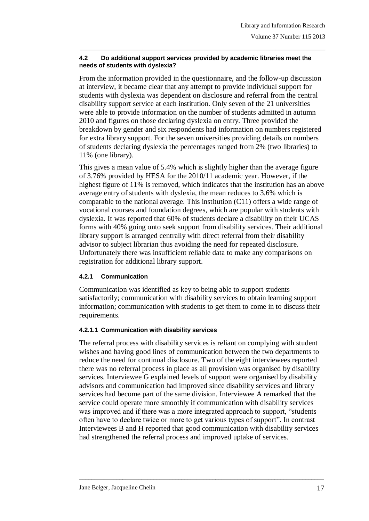#### **4.2 Do additional support services provided by academic libraries meet the needs of students with dyslexia?**

 $\_$  , and the set of the set of the set of the set of the set of the set of the set of the set of the set of the set of the set of the set of the set of the set of the set of the set of the set of the set of the set of th

From the information provided in the questionnaire, and the follow-up discussion at interview, it became clear that any attempt to provide individual support for students with dyslexia was dependent on disclosure and referral from the central disability support service at each institution. Only seven of the 21 universities were able to provide information on the number of students admitted in autumn 2010 and figures on those declaring dyslexia on entry. Three provided the breakdown by gender and six respondents had information on numbers registered for extra library support. For the seven universities providing details on numbers of students declaring dyslexia the percentages ranged from 2% (two libraries) to 11% (one library).

This gives a mean value of 5.4% which is slightly higher than the average figure of 3.76% provided by HESA for the 2010/11 academic year. However, if the highest figure of 11% is removed, which indicates that the institution has an above average entry of students with dyslexia, the mean reduces to 3.6% which is comparable to the national average. This institution (C11) offers a wide range of vocational courses and foundation degrees, which are popular with students with dyslexia. It was reported that 60% of students declare a disability on their UCAS forms with 40% going onto seek support from disability services. Their additional library support is arranged centrally with direct referral from their disability advisor to subject librarian thus avoiding the need for repeated disclosure. Unfortunately there was insufficient reliable data to make any comparisons on registration for additional library support.

### **4.2.1 Communication**

Communication was identified as key to being able to support students satisfactorily; communication with disability services to obtain learning support information; communication with students to get them to come in to discuss their requirements.

### **4.2.1.1 Communication with disability services**

The referral process with disability services is reliant on complying with student wishes and having good lines of communication between the two departments to reduce the need for continual disclosure. Two of the eight interviewees reported there was no referral process in place as all provision was organised by disability services. Interviewee G explained levels of support were organised by disability advisors and communication had improved since disability services and library services had become part of the same division. Interviewee A remarked that the service could operate more smoothly if communication with disability services was improved and if there was a more integrated approach to support, "students often have to declare twice or more to get various types of support". In contrast Interviewees B and H reported that good communication with disability services had strengthened the referral process and improved uptake of services.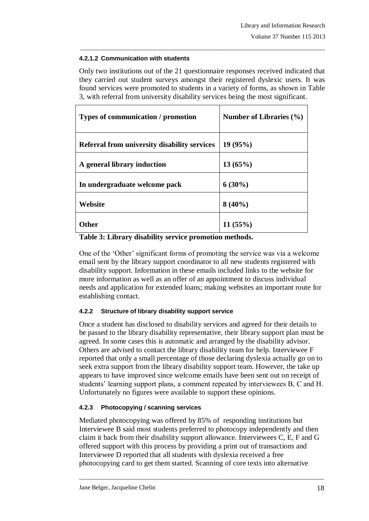### **4.2.1.2 Communication with students**

Only two institutions out of the 21 questionnaire responses received indicated that they carried out student surveys amongst their registered dyslexic users. It was found services were promoted to students in a variety of forms, as shown in Table 3, with referral from university disability services being the most significant.

 $\_$  , and the set of the set of the set of the set of the set of the set of the set of the set of the set of the set of the set of the set of the set of the set of the set of the set of the set of the set of the set of th

| Types of communication / promotion           | Number of Libraries $(\% )$ |
|----------------------------------------------|-----------------------------|
| Referral from university disability services | 19(95%)                     |
| A general library induction                  | 13(65%)                     |
| In undergraduate welcome pack                | $6(30\%)$                   |
| Website                                      | $8(40\%)$                   |
| <b>Other</b>                                 | 11(55%)                     |

**Table 3: Library disability service promotion methods.**

One of the "Other" significant forms of promoting the service was via a welcome email sent by the library support coordinator to all new students registered with disability support. Information in these emails included links to the website for more information as well as an offer of an appointment to discuss individual needs and application for extended loans; making websites an important route for establishing contact.

# **4.2.2 Structure of library disability support service**

Once a student has disclosed to disability services and agreed for their details to be passed to the library disability representative, their library support plan must be agreed. In some cases this is automatic and arranged by the disability advisor. Others are advised to contact the library disability team for help. Interviewee F reported that only a small percentage of those declaring dyslexia actually go on to seek extra support from the library disability support team. However, the take up appears to have improved since welcome emails have been sent out on receipt of students' learning support plans, a comment repeated by interviewees B, C and H. Unfortunately no figures were available to support these opinions.

# **4.2.3 Photocopying / scanning services**

Mediated photocopying was offered by 85% of responding institutions but Interviewee B said most students preferred to photocopy independently and then claim it back from their disability support allowance. Interviewees C, E, F and G offered support with this process by providing a print out of transactions and Interviewee D reported that all students with dyslexia received a free photocopying card to get them started. Scanning of core texts into alternative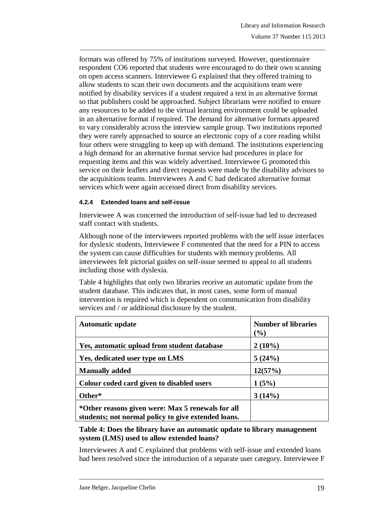formats was offered by 75% of institutions surveyed. However, questionnaire respondent CO6 reported that students were encouraged to do their own scanning on open access scanners. Interviewee G explained that they offered training to allow students to scan their own documents and the acquisitions team were notified by disability services if a student required a text in an alternative format so that publishers could be approached. Subject librarians were notified to ensure any resources to be added to the virtual learning environment could be uploaded in an alternative format if required. The demand for alternative formats appeared to vary considerably across the interview sample group. Two institutions reported they were rarely approached to source an electronic copy of a core reading whilst four others were struggling to keep up with demand. The institutions experiencing a high demand for an alternative format service had procedures in place for requesting items and this was widely advertised. Interviewee G promoted this service on their leaflets and direct requests were made by the disability advisors to the acquisitions teams. Interviewees A and C had dedicated alternative format services which were again accessed direct from disability services.

 $\_$  , and the set of the set of the set of the set of the set of the set of the set of the set of the set of the set of the set of the set of the set of the set of the set of the set of the set of the set of the set of th

#### **4.2.4 Extended loans and self-issue**

Interviewee A was concerned the introduction of self-issue had led to decreased staff contact with students.

Although none of the interviewees reported problems with the self issue interfaces for dyslexic students, Interviewee F commented that the need for a PIN to access the system can cause difficulties for students with memory problems. All interviewees felt pictorial guides on self-issue seemed to appeal to all students including those with dyslexia.

Table 4 highlights that only two libraries receive an automatic update from the student database. This indicates that, in most cases, some form of manual intervention is required which is dependent on communication from disability services and / or additional disclosure by the student.

| <b>Automatic update</b>                                                                                  | <b>Number of libraries</b><br>$(\%)$ |
|----------------------------------------------------------------------------------------------------------|--------------------------------------|
| Yes, automatic upload from student database                                                              | $2(10\%)$                            |
| Yes, dedicated user type on LMS                                                                          | 5(24%)                               |
| <b>Manually added</b>                                                                                    | 12(57%)                              |
| Colour coded card given to disabled users                                                                | 1(5%)                                |
| Other*                                                                                                   | 3(14%)                               |
| *Other reasons given were: Max 5 renewals for all<br>students; not normal policy to give extended loans. |                                      |

**Table 4: Does the library have an automatic update to library management system (LMS) used to allow extended loans?**

Interviewees A and C explained that problems with self-issue and extended loans had been resolved since the introduction of a separate user category. Interviewee F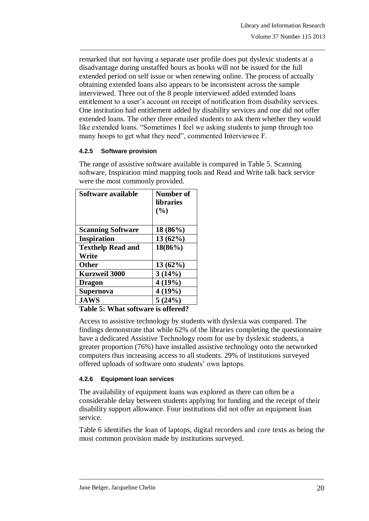remarked that not having a separate user profile does put dyslexic students at a disadvantage during unstaffed hours as books will not be issued for the full extended period on self issue or when renewing online. The process of actually obtaining extended loans also appears to be inconsistent across the sample interviewed. Three out of the 8 people interviewed added extended loans entitlement to a user's account on receipt of notification from disability services. One institution had entitlement added by disability services and one did not offer extended loans. The other three emailed students to ask them whether they would like extended loans. "Sometimes I feel we asking students to jump through too many hoops to get what they need", commented Interviewee F.

 $\_$  , and the set of the set of the set of the set of the set of the set of the set of the set of the set of the set of the set of the set of the set of the set of the set of the set of the set of the set of the set of th

### **4.2.5 Software provision**

The range of assistive software available is compared in Table 5. Scanning software, Inspiration mind mapping tools and Read and Write talk back service were the most commonly provided.

| Software available       | Number of<br><b>libraries</b><br>(%) |
|--------------------------|--------------------------------------|
| <b>Scanning Software</b> | $18(86\%)$                           |
| <b>Inspiration</b>       | 13(62%)                              |
| <b>Texthelp Read and</b> | 18(86%)                              |
| Write                    |                                      |
| <b>Other</b>             | $13(62\%)$                           |
| <b>Kurzweil 3000</b>     | 3(14%)                               |
| <b>Dragon</b>            | 4(19%)                               |
| <b>Supernova</b>         | 4(19%)                               |
| <b>JAWS</b>              | 5(24%)                               |

**Table 5: What software is offered?**

Access to assistive technology by students with dyslexia was compared. The findings demonstrate that while 62% of the libraries completing the questionnaire have a dedicated Assistive Technology room for use by dyslexic students, a greater proportion (76%) have installed assistive technology onto the networked computers thus increasing access to all students. 29% of institutions surveyed offered uploads of software onto students" own laptops.

### **4.2.6 Equipment loan services**

The availability of equipment loans was explored as there can often be a considerable delay between students applying for funding and the receipt of their disability support allowance. Four institutions did not offer an equipment loan service.

Table 6 identifies the loan of laptops, digital recorders and core texts as being the most common provision made by institutions surveyed.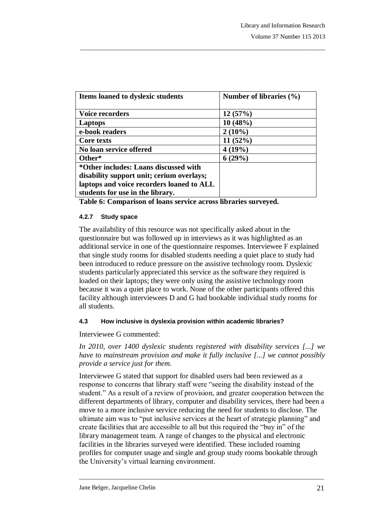| Items loaned to dyslexic students                                                  | Number of libraries $(\% )$ |
|------------------------------------------------------------------------------------|-----------------------------|
| <b>Voice recorders</b>                                                             | 12(57%)                     |
| Laptops                                                                            | 10(48%)                     |
| e-book readers                                                                     | $2(10\%)$                   |
| Core texts                                                                         | 11(52%)                     |
| No loan service offered                                                            | 4(19%)                      |
| Other*                                                                             | 6(29%)                      |
| *Other includes: Loans discussed with<br>disability support unit; cerium overlays; |                             |
| laptops and voice recorders loaned to ALL<br>students for use in the library.      |                             |

 $\_$  , and the set of the set of the set of the set of the set of the set of the set of the set of the set of the set of the set of the set of the set of the set of the set of the set of the set of the set of the set of th

**Table 6: Comparison of loans service across libraries surveyed.**

#### **4.2.7 Study space**

The availability of this resource was not specifically asked about in the questionnaire but was followed up in interviews as it was highlighted as an additional service in one of the questionnaire responses. Interviewee F explained that single study rooms for disabled students needing a quiet place to study had been introduced to reduce pressure on the assistive technology room. Dyslexic students particularly appreciated this service as the software they required is loaded on their laptops; they were only using the assistive technology room because it was a quiet place to work. None of the other participants offered this facility although interviewees D and G had bookable individual study rooms for all students.

### **4.3 How inclusive is dyslexia provision within academic libraries?**

Interviewee G commented:

*In 2010, over 1400 dyslexic students registered with disability services [...] we have to mainstream provision and make it fully inclusive [...] we cannot possibly provide a service just for them.* 

Interviewee G stated that support for disabled users had been reviewed as a response to concerns that library staff were "seeing the disability instead of the student." As a result of a review of provision, and greater cooperation between the different departments of library, computer and disability services, there had been a move to a more inclusive service reducing the need for students to disclose. The ultimate aim was to "put inclusive services at the heart of strategic planning" and create facilities that are accessible to all but this required the "buy in" of the library management team. A range of changes to the physical and electronic facilities in the libraries surveyed were identified. These included roaming profiles for computer usage and single and group study rooms bookable through the University"s virtual learning environment.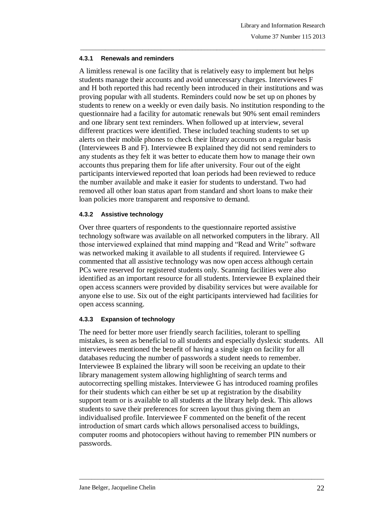#### **4.3.1 Renewals and reminders**

A limitless renewal is one facility that is relatively easy to implement but helps students manage their accounts and avoid unnecessary charges. Interviewees F and H both reported this had recently been introduced in their institutions and was proving popular with all students. Reminders could now be set up on phones by students to renew on a weekly or even daily basis. No institution responding to the questionnaire had a facility for automatic renewals but 90% sent email reminders and one library sent text reminders. When followed up at interview, several different practices were identified. These included teaching students to set up alerts on their mobile phones to check their library accounts on a regular basis (Interviewees B and F). Interviewee B explained they did not send reminders to any students as they felt it was better to educate them how to manage their own accounts thus preparing them for life after university. Four out of the eight participants interviewed reported that loan periods had been reviewed to reduce the number available and make it easier for students to understand. Two had removed all other loan status apart from standard and short loans to make their loan policies more transparent and responsive to demand.

 $\_$  , and the set of the set of the set of the set of the set of the set of the set of the set of the set of the set of the set of the set of the set of the set of the set of the set of the set of the set of the set of th

#### **4.3.2 Assistive technology**

Over three quarters of respondents to the questionnaire reported assistive technology software was available on all networked computers in the library. All those interviewed explained that mind mapping and "Read and Write" software was networked making it available to all students if required. Interviewee G commented that all assistive technology was now open access although certain PCs were reserved for registered students only. Scanning facilities were also identified as an important resource for all students. Interviewee B explained their open access scanners were provided by disability services but were available for anyone else to use. Six out of the eight participants interviewed had facilities for open access scanning.

### **4.3.3 Expansion of technology**

The need for better more user friendly search facilities, tolerant to spelling mistakes, is seen as beneficial to all students and especially dyslexic students. All interviewees mentioned the benefit of having a single sign on facility for all databases reducing the number of passwords a student needs to remember. Interviewee B explained the library will soon be receiving an update to their library management system allowing highlighting of search terms and autocorrecting spelling mistakes. Interviewee G has introduced roaming profiles for their students which can either be set up at registration by the disability support team or is available to all students at the library help desk. This allows students to save their preferences for screen layout thus giving them an individualised profile. Interviewee F commented on the benefit of the recent introduction of smart cards which allows personalised access to buildings, computer rooms and photocopiers without having to remember PIN numbers or passwords.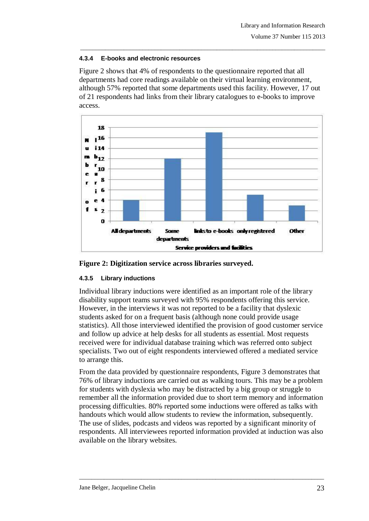### **4.3.4 E-books and electronic resources**

Figure 2 shows that 4% of respondents to the questionnaire reported that all departments had core readings available on their virtual learning environment, although 57% reported that some departments used this facility. However, 17 out of 21 respondents had links from their library catalogues to e-books to improve access.

 $\_$  , and the set of the set of the set of the set of the set of the set of the set of the set of the set of the set of the set of the set of the set of the set of the set of the set of the set of the set of the set of th





# **4.3.5 Library inductions**

Individual library inductions were identified as an important role of the library disability support teams surveyed with 95% respondents offering this service. However, in the interviews it was not reported to be a facility that dyslexic students asked for on a frequent basis (although none could provide usage statistics). All those interviewed identified the provision of good customer service and follow up advice at help desks for all students as essential. Most requests received were for individual database training which was referred onto subject specialists. Two out of eight respondents interviewed offered a mediated service to arrange this.

From the data provided by questionnaire respondents, Figure 3 demonstrates that 76% of library inductions are carried out as walking tours. This may be a problem for students with dyslexia who may be distracted by a big group or struggle to remember all the information provided due to short term memory and information processing difficulties. 80% reported some inductions were offered as talks with handouts which would allow students to review the information, subsequently. The use of slides, podcasts and videos was reported by a significant minority of respondents. All interviewees reported information provided at induction was also available on the library websites.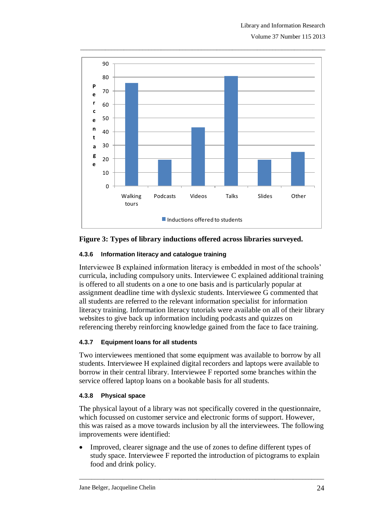

#### **Figure 3: Types of library inductions offered across libraries surveyed.**

#### **4.3.6 Information literacy and catalogue training**

Interviewee B explained information literacy is embedded in most of the schools" curricula, including compulsory units. Interviewee C explained additional training is offered to all students on a one to one basis and is particularly popular at assignment deadline time with dyslexic students. Interviewee G commented that all students are referred to the relevant information specialist for information literacy training. Information literacy tutorials were available on all of their library websites to give back up information including podcasts and quizzes on referencing thereby reinforcing knowledge gained from the face to face training.

#### **4.3.7 Equipment loans for all students**

Two interviewees mentioned that some equipment was available to borrow by all students. Interviewee H explained digital recorders and laptops were available to borrow in their central library. Interviewee F reported some branches within the service offered laptop loans on a bookable basis for all students.

#### **4.3.8 Physical space**

The physical layout of a library was not specifically covered in the questionnaire, which focussed on customer service and electronic forms of support. However, this was raised as a move towards inclusion by all the interviewees. The following improvements were identified:

 Improved, clearer signage and the use of zones to define different types of study space. Interviewee F reported the introduction of pictograms to explain food and drink policy.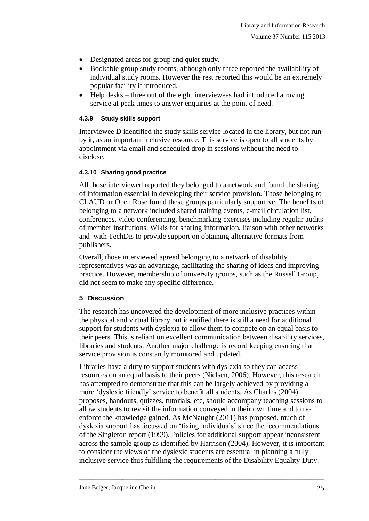- Designated areas for group and quiet study.
- Bookable group study rooms, although only three reported the availability of individual study rooms. However the rest reported this would be an extremely popular facility if introduced.

 $\_$  , and the set of the set of the set of the set of the set of the set of the set of the set of the set of the set of the set of the set of the set of the set of the set of the set of the set of the set of the set of th

• Help desks – three out of the eight interviewees had introduced a roving service at peak times to answer enquiries at the point of need.

#### **4.3.9 Study skills support**

Interviewee D identified the study skills service located in the library, but not run by it, as an important inclusive resource. This service is open to all students by appointment via email and scheduled drop in sessions without the need to disclose.

#### **4.3.10 Sharing good practice**

All those interviewed reported they belonged to a network and found the sharing of information essential in developing their service provision. Those belonging to CLAUD or Open Rose found these groups particularly supportive. The benefits of belonging to a network included shared training events, e-mail circulation list, conferences, video conferencing, benchmarking exercises including regular audits of member institutions, Wikis for sharing information, liaison with other networks and with TechDis to provide support on obtaining alternative formats from publishers.

Overall, those interviewed agreed belonging to a network of disability representatives was an advantage, facilitating the sharing of ideas and improving practice. However, membership of university groups, such as the Russell Group, did not seem to make any specific difference.

### **5 Discussion**

The research has uncovered the development of more inclusive practices within the physical and virtual library but identified there is still a need for additional support for students with dyslexia to allow them to compete on an equal basis to their peers. This is reliant on excellent communication between disability services, libraries and students. Another major challenge is record keeping ensuring that service provision is constantly monitored and updated.

Libraries have a duty to support students with dyslexia so they can access resources on an equal basis to their peers (Nielsen, 2006). However, this research has attempted to demonstrate that this can be largely achieved by providing a more "dyslexic friendly" service to benefit all students*.* As Charles (2004) proposes, handouts, quizzes, tutorials, etc, should accompany teaching sessions to allow students to revisit the information conveyed in their own time and to reenforce the knowledge gained. As McNaught (2011) has proposed, much of dyslexia support has focussed on "fixing individuals" since the recommendations of the Singleton report (1999). Policies for additional support appear inconsistent across the sample group as identified by Harrison (2004). However, it is important to consider the views of the dyslexic students are essential in planning a fully inclusive service thus fulfilling the requirements of the Disability Equality Duty.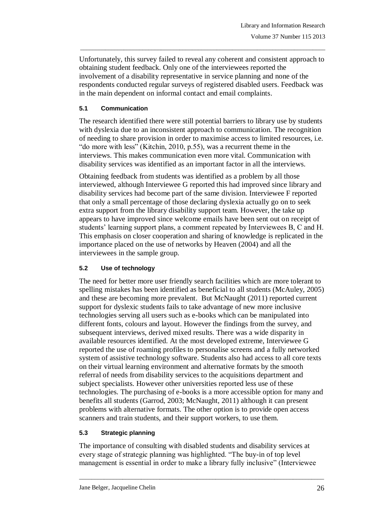Unfortunately, this survey failed to reveal any coherent and consistent approach to obtaining student feedback. Only one of the interviewees reported the involvement of a disability representative in service planning and none of the respondents conducted regular surveys of registered disabled users. Feedback was in the main dependent on informal contact and email complaints.

 $\_$  , and the set of the set of the set of the set of the set of the set of the set of the set of the set of the set of the set of the set of the set of the set of the set of the set of the set of the set of the set of th

## **5.1 Communication**

The research identified there were still potential barriers to library use by students with dyslexia due to an inconsistent approach to communication. The recognition of needing to share provision in order to maximise access to limited resources, i.e. "do more with less" (Kitchin, 2010, p.55), was a recurrent theme in the interviews. This makes communication even more vital. Communication with disability services was identified as an important factor in all the interviews.

Obtaining feedback from students was identified as a problem by all those interviewed, although Interviewee G reported this had improved since library and disability services had become part of the same division. Interviewee F reported that only a small percentage of those declaring dyslexia actually go on to seek extra support from the library disability support team. However, the take up appears to have improved since welcome emails have been sent out on receipt of students" learning support plans, a comment repeated by Interviewees B, C and H. This emphasis on closer cooperation and sharing of knowledge is replicated in the importance placed on the use of networks by Heaven (2004) and all the interviewees in the sample group.

### **5.2 Use of technology**

The need for better more user friendly search facilities which are more tolerant to spelling mistakes has been identified as beneficial to all students (McAuley, 2005) and these are becoming more prevalent. But McNaught (2011) reported current support for dyslexic students fails to take advantage of new more inclusive technologies serving all users such as e-books which can be manipulated into different fonts, colours and layout. However the findings from the survey, and subsequent interviews, derived mixed results. There was a wide disparity in available resources identified. At the most developed extreme, Interviewee G reported the use of roaming profiles to personalise screens and a fully networked system of assistive technology software. Students also had access to all core texts on their virtual learning environment and alternative formats by the smooth referral of needs from disability services to the acquisitions department and subject specialists. However other universities reported less use of these technologies. The purchasing of e-books is a more accessible option for many and benefits all students (Garrod, 2003; McNaught, 2011) although it can present problems with alternative formats. The other option is to provide open access scanners and train students, and their support workers, to use them.

# **5.3 Strategic planning**

The importance of consulting with disabled students and disability services at every stage of strategic planning was highlighted. "The buy-in of top level management is essential in order to make a library fully inclusive" (Interviewee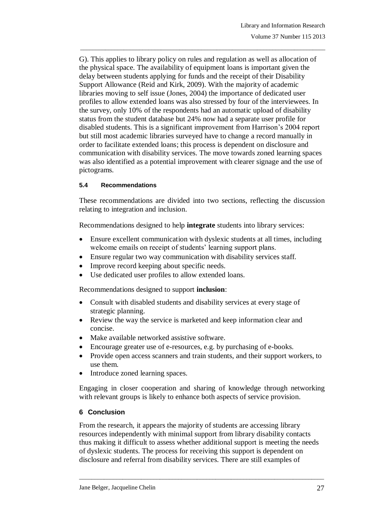G). This applies to library policy on rules and regulation as well as allocation of the physical space. The availability of equipment loans is important given the delay between students applying for funds and the receipt of their Disability Support Allowance (Reid and Kirk, 2009). With the majority of academic libraries moving to self issue (Jones, 2004) the importance of dedicated user profiles to allow extended loans was also stressed by four of the interviewees. In the survey, only 10% of the respondents had an automatic upload of disability status from the student database but 24% now had a separate user profile for disabled students. This is a significant improvement from Harrison"s 2004 report but still most academic libraries surveyed have to change a record manually in order to facilitate extended loans; this process is dependent on disclosure and communication with disability services. The move towards zoned learning spaces was also identified as a potential improvement with clearer signage and the use of pictograms.

 $\_$  , and the set of the set of the set of the set of the set of the set of the set of the set of the set of the set of the set of the set of the set of the set of the set of the set of the set of the set of the set of th

#### **5.4 Recommendations**

These recommendations are divided into two sections, reflecting the discussion relating to integration and inclusion.

Recommendations designed to help **integrate** students into library services:

- Ensure excellent communication with dyslexic students at all times, including welcome emails on receipt of students' learning support plans.
- Ensure regular two way communication with disability services staff.
- Improve record keeping about specific needs.
- Use dedicated user profiles to allow extended loans.

Recommendations designed to support **inclusion**:

- Consult with disabled students and disability services at every stage of strategic planning.
- Review the way the service is marketed and keep information clear and concise.
- Make available networked assistive software.
- Encourage greater use of e-resources, e.g. by purchasing of e-books.
- Provide open access scanners and train students, and their support workers, to use them.
- Introduce zoned learning spaces.

Engaging in closer cooperation and sharing of knowledge through networking with relevant groups is likely to enhance both aspects of service provision.

### **6 Conclusion**

From the research, it appears the majority of students are accessing library resources independently with minimal support from library disability contacts thus making it difficult to assess whether additional support is meeting the needs of dyslexic students. The process for receiving this support is dependent on disclosure and referral from disability services. There are still examples of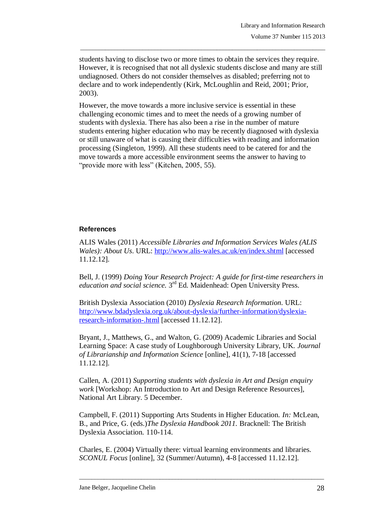students having to disclose two or more times to obtain the services they require. However, it is recognised that not all dyslexic students disclose and many are still undiagnosed. Others do not consider themselves as disabled; preferring not to declare and to work independently (Kirk, McLoughlin and Reid, 2001; Prior, 2003).

 $\_$  , and the set of the set of the set of the set of the set of the set of the set of the set of the set of the set of the set of the set of the set of the set of the set of the set of the set of the set of the set of th

However, the move towards a more inclusive service is essential in these challenging economic times and to meet the needs of a growing number of students with dyslexia. There has also been a rise in the number of mature students entering higher education who may be recently diagnosed with dyslexia or still unaware of what is causing their difficulties with reading and information processing (Singleton, 1999). All these students need to be catered for and the move towards a more accessible environment seems the answer to having to "provide more with less" (Kitchen, 2005, 55).

#### **References**

ALIS Wales (2011) *Accessible Libraries and Information Services Wales (ALIS Wales): About Us*. URL:<http://www.alis-wales.ac.uk/en/index.shtml> [accessed 11.12.12].

Bell, J. (1999) *Doing Your Research Project: A guide for first-time researchers in*  education and social science. 3<sup>rd</sup> Ed. Maidenhead: Open University Press.

British Dyslexia Association (2010) *Dyslexia Research Information*. URL: [http://www.bdadyslexia.org.uk/about-dyslexia/further-information/dyslexia](http://www.bdadyslexia.org.uk/about-dyslexia/further-information/dyslexia-research-information-.html)[research-information-.html](http://www.bdadyslexia.org.uk/about-dyslexia/further-information/dyslexia-research-information-.html) [accessed 11.12.12].

Bryant, J., Matthews, G., and Walton, G. (2009) Academic Libraries and Social Learning Space: A case study of Loughborough University Library, UK. *Journal of Librarianship and Information Science* [online], 41(1), 7-18 [accessed 11.12.12].

Callen, A. (2011) *Supporting students with dyslexia in Art and Design enquiry work* [Workshop: An Introduction to Art and Design Reference Resources], National Art Library. 5 December.

Campbell, F. (2011) Supporting Arts Students in Higher Education. *In:* McLean, B., and Price, G. (eds.)*The Dyslexia Handbook 2011.* Bracknell: The British Dyslexia Association. 110-114.

Charles, E. (2004) Virtually there: virtual learning environments and libraries. *SCONUL Focus* [online], 32 (Summer/Autumn), 4-8 [accessed 11.12.12].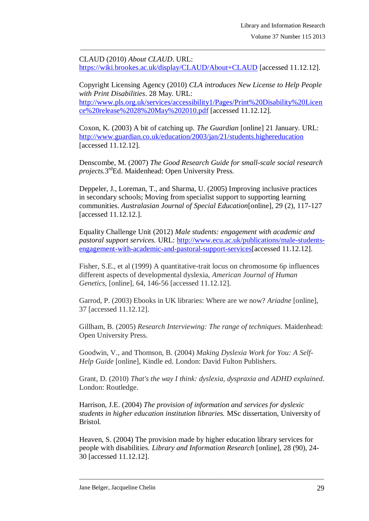CLAUD (2010) *About CLAUD*. URL: <https://wiki.brookes.ac.uk/display/CLAUD/About+CLAUD> [accessed 11.12.12].

 $\_$  , and the set of the set of the set of the set of the set of the set of the set of the set of the set of the set of the set of the set of the set of the set of the set of the set of the set of the set of the set of th

Copyright Licensing Agency (2010) *CLA introduces New License to Help People with Print Disabilities*. 28 May. URL: [http://www.pls.org.uk/services/accessibility1/Pages/Print%20Disability%20Licen](http://www.pls.org.uk/services/accessibility1/Pages/Print%20Disability%20Licence%20release%2028%20May%202010.pdf) [ce%20release%2028%20May%202010.pdf](http://www.pls.org.uk/services/accessibility1/Pages/Print%20Disability%20Licence%20release%2028%20May%202010.pdf) [accessed 11.12.12].

Coxon, K. (2003) A bit of catching up. *The Guardian* [online] 21 January. URL: <http://www.guardian.co.uk/education/2003/jan/21/students.highereducation> [accessed 11.12.12].

Denscombe, M. (2007) *The Good Research Guide for small-scale social research projects.*3 rdEd. Maidenhead: Open University Press.

Deppeler, J., Loreman, T., and Sharma, U. (2005) Improving inclusive practices in secondary schools; Moving from specialist support to supporting learning communities. *Australasian Journal of Special Education*[online], 29 (2), 117-127 [accessed 11.12.12.].

Equality Challenge Unit (2012) *Male students: engagement with academic and pastoral support services.* URL: [http://www.ecu.ac.uk/publications/male-students](http://www.ecu.ac.uk/publications/male-students-engagement-with-academic-and-pastoral-support-services)[engagement-with-academic-and-pastoral-support-services\[](http://www.ecu.ac.uk/publications/male-students-engagement-with-academic-and-pastoral-support-services)accessed 11.12.12].

Fisher, S.E., et al (1999) A quantitative-trait locus on chromosome 6p influences different aspects of developmental dyslexia, *American Journal of Human Genetics,* [online], 64, 146-56 [accessed 11.12.12].

Garrod, P. (2003) Ebooks in UK libraries: Where are we now? *Ariadne* [online], 37 [accessed 11.12.12].

Gillham, B. (2005) *Research Interviewing: The range of techniques*. Maidenhead: Open University Press.

Goodwin, V., and Thomson, B. (2004) *Making Dyslexia Work for You: A Self-Help Guide* [online], Kindle ed*.* London: David Fulton Publishers.

Grant, D. (2010) *That's the way I think: dyslexia, dyspraxia and ADHD explained*. London: Routledge.

Harrison, J.E. (2004) *The provision of information and services for dyslexic students in higher education institution libraries.* MSc dissertation, University of Bristol.

Heaven, S. (2004) The provision made by higher education library services for people with disabilities. *Library and Information Research* [online], 28 (90), 24- 30 [accessed 11.12.12].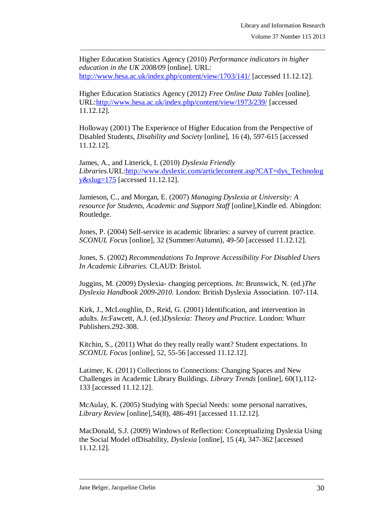Higher Education Statistics Agency (2010) *Performance indicators in higher education in the UK 2008/09* [online]. URL: <http://www.hesa.ac.uk/index.php/content/view/1703/141/> [accessed 11.12.12].

 $\_$  , and the set of the set of the set of the set of the set of the set of the set of the set of the set of the set of the set of the set of the set of the set of the set of the set of the set of the set of the set of th

Higher Education Statistics Agency (2012) *Free Online Data Tables* [online]. URL[:http://www.hesa.ac.uk/index.php/content/view/1973/239/](http://www.hesa.ac.uk/index.php/content/view/1973/239/) [accessed 11.12.12].

Holloway (2001) The Experience of Higher Education from the Perspective of Disabled Students, *Disability and Society* [online], 16 (4), 597-615 [accessed 11.12.12].

James, A., and Litterick, I. (2010) *Dyslexia Friendly Libraries.*URL[:http://www.dyslexic.com/articlecontent.asp?CAT=dys\\_Technolog](http://www.dyslexic.com/articlecontent.asp?CAT=dys_Technology&slug=175) [y&slug=175](http://www.dyslexic.com/articlecontent.asp?CAT=dys_Technology&slug=175) [accessed 11.12.12].

Jamieson, C., and Morgan, E. (2007) *Managing Dyslexia at University: A resource for Students, Academic and Support Staff* [online]*,*Kindle ed. Abingdon: Routledge.

Jones, P. (2004) Self-service in academic libraries: a survey of current practice. *SCONUL Focus* [online], 32 (Summer/Autumn), 49-50 [accessed 11.12.12].

Jones, S. (2002) *Recommendations To Improve Accessibility For Disabled Users In Academic Libraries.* CLAUD: Bristol.

Juggins, M. (2009) Dyslexia- changing perceptions. *In*: Brunswick, N. (ed.)*The Dyslexia Handbook 2009-2010.* London: British Dyslexia Association. 107-114.

Kirk, J., McLoughlin, D., Reid, G. (2001) Identification, and intervention in adults. *In*:Fawcett, A.J. (ed.)*Dyslexia: Theory and Practice.* London: Whurr Publishers.292-308.

Kitchin, S., (2011) What do they really really want? Student expectations. In *SCONUL Focus* [online], 52, 55-56 [accessed 11.12.12].

Latimer, K. (2011) Collections to Connections: Changing Spaces and New Challenges in Academic Library Buildings. *Library Trends* [online]*,* 60(1),112- 133 [accessed 11.12.12].

McAulay, K. (2005) Studying with Special Needs: some personal narratives, *Library Review* [online],54(8), 486-491 [accessed 11.12.12].

MacDonald, S.J. (2009) Windows of Reflection: Conceptualizing Dyslexia Using the Social Model ofDisability, *Dyslexia* [online], 15 (4), 347-362 [accessed 11.12.12].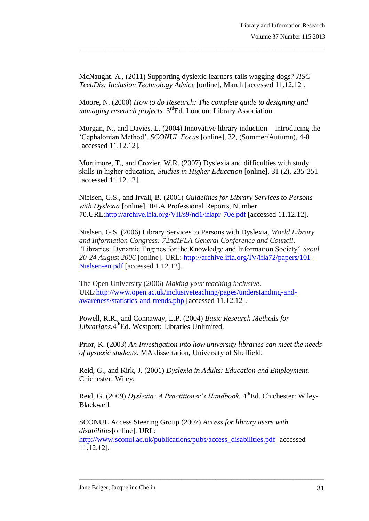McNaught, A., (2011) Supporting dyslexic learners-tails wagging dogs? *JISC TechDis: Inclusion Technology Advice* [online], March [accessed 11.12.12].

 $\_$  , and the set of the set of the set of the set of the set of the set of the set of the set of the set of the set of the set of the set of the set of the set of the set of the set of the set of the set of the set of th

Moore, N. (2000) *How to do Research: The complete guide to designing and*  managing research projects. 3<sup>rd</sup>Ed. London: Library Association.

Morgan, N., and Davies, L. (2004) Innovative library induction – introducing the "Cephalonian Method". *SCONUL Focus* [online], 32, (Summer/Autumn), 4-8 [accessed 11.12.12].

Mortimore, T., and Crozier, W.R. (2007) Dyslexia and difficulties with study skills in higher education, *Studies in Higher Education* [online], 31 (2), 235-251 [accessed 11.12.12].

Nielsen, G.S., and Irvall, B. (2001) *Guidelines for Library Services to Persons with Dyslexia* [online]. IFLA Professional Reports, Number 70*.*URL[:http://archive.ifla.org/VII/s9/nd1/iflapr-70e.pdf](http://archive.ifla.org/VII/s9/nd1/iflapr-70e.pdf) [accessed 11.12.12].

Nielsen, G.S. (2006) Library Services to Persons with Dyslexia, *World Library and Information Congress: 72ndIFLA General Conference and Council.* "Libraries: Dynamic Engines for the Knowledge and Information Society" *Seoul 20-24 August 2006* [online]. URL: [http://archive.ifla.org/IV/ifla72/papers/101-](http://archive.ifla.org/IV/ifla72/papers/101-Nielsen-en.pdf) [Nielsen-en.pdf](http://archive.ifla.org/IV/ifla72/papers/101-Nielsen-en.pdf) [accessed 1.12.12].

The Open University (2006) *Making your teaching inclusive*. URL[:http://www.open.ac.uk/inclusiveteaching/pages/understanding-and](http://www.open.ac.uk/inclusiveteaching/pages/understanding-and-awareness/statistics-and-trends.php)[awareness/statistics-and-trends.php](http://www.open.ac.uk/inclusiveteaching/pages/understanding-and-awareness/statistics-and-trends.php) [accessed 11.12.12].

Powell, R.R., and Connaway, L.P. (2004) *Basic Research Methods for*  Librarians. 4<sup>th</sup>Ed. Westport: Libraries Unlimited.

Prior, K. (2003) *An Investigation into how university libraries can meet the needs of dyslexic students.* MA dissertation, University of Sheffield.

Reid, G., and Kirk, J. (2001) *Dyslexia in Adults: Education and Employment.*  Chichester: Wiley.

Reid, G. (2009) *Dyslexia: A Practitioner's Handbook*. 4<sup>th</sup>Ed. Chichester: Wiley-Blackwell.

\_\_\_\_\_\_\_\_\_\_\_\_\_\_\_\_\_\_\_\_\_\_\_\_\_\_\_\_\_\_\_\_\_\_\_\_\_\_\_\_\_\_\_\_\_\_\_\_\_\_\_\_\_\_\_\_\_\_\_\_\_\_\_\_\_\_\_\_\_\_\_\_\_\_\_\_\_\_\_

SCONUL Access Steering Group (2007) *Access for library users with disabilities*[online]. URL: [http://www.sconul.ac.uk/publications/pubs/access\\_disabilities.pdf](http://www.sconul.ac.uk/publications/pubs/access_disabilities.pdf) [accessed 11.12.12].